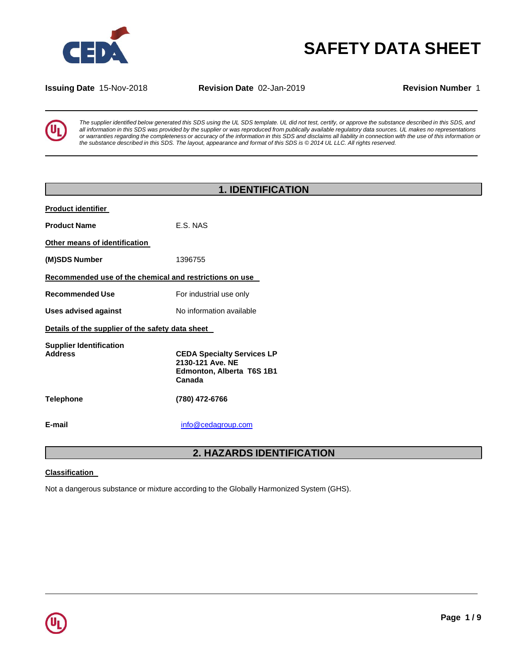

# **SAFETY DATA SHEET**

**Issuing Date** 15-Nov-2018 **Revision Date** 02-Jan-2019 **Revision Number** 1

The supplier identified below generated this SDS using the UL SDS template. UL did not test, certify, or approve the substance described in this SDS, and all information in this SDS was provided by the supplier or was reproduced from publically available regulatory data sources. UL makes no representations or warranties regarding the completeness or accuracy of the information in this SDS and disclaims all liability in connection with the use of this information or the substance described in this SDS. The layout, appearance and format of this SDS is @ 2014 UL LLC. All rights reserved.

|                                                         | <b>1. IDENTIFICATION</b>                                                                     |  |
|---------------------------------------------------------|----------------------------------------------------------------------------------------------|--|
| <b>Product identifier</b>                               |                                                                                              |  |
| <b>Product Name</b>                                     | E.S. NAS                                                                                     |  |
| Other means of identification                           |                                                                                              |  |
| (M)SDS Number                                           | 1396755                                                                                      |  |
| Recommended use of the chemical and restrictions on use |                                                                                              |  |
| <b>Recommended Use</b>                                  | For industrial use only                                                                      |  |
| <b>Uses advised against</b>                             | No information available                                                                     |  |
| Details of the supplier of the safety data sheet        |                                                                                              |  |
| <b>Supplier Identification</b><br><b>Address</b>        | <b>CEDA Specialty Services LP</b><br>2130-121 Ave. NE<br>Edmonton, Alberta T6S 1B1<br>Canada |  |
| Telephone                                               | (780) 472-6766                                                                               |  |
| E-mail                                                  | info@cedagroup.com                                                                           |  |

## **2. HAZARDS IDENTIFICATION**

#### **Classification**

Not a dangerous substance or mixture according to the Globally Harmonized System (GHS).

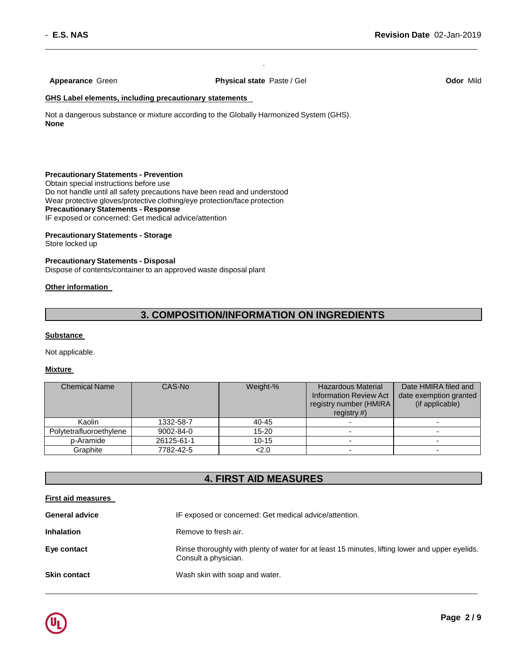**Appearance** Green **Physical state** Paste / Gel **Odor** Mild

.

#### **GHS Label elements, including precautionary statements**

Not a dangerous substance or mixture according to the Globally Harmonized System (GHS). **None**

#### **Precautionary Statements - Prevention**

Obtain special instructions before use Do not handle until all safety precautions have been read and understood Wear protective gloves/protective clothing/eye protection/face protection **Precautionary Statements - Response** IF exposed or concerned: Get medical advice/attention

**Precautionary Statements - Storage**

Store locked up

### **Precautionary Statements - Disposal**

Dispose of contents/container to an approved waste disposal plant

#### **Other information**

## **3. COMPOSITION/INFORMATION ON INGREDIENTS**

#### **Substance**

Not applicable.

#### **Mixture**

| <b>Chemical Name</b>    | CAS-No     | Weight-%  | <b>Hazardous Material</b><br><b>Information Review Act</b><br>registry number (HMIRA<br>registry $#$ ) | Date HMIRA filed and<br>date exemption granted<br>(if applicable) |
|-------------------------|------------|-----------|--------------------------------------------------------------------------------------------------------|-------------------------------------------------------------------|
| Kaolin                  | 1332-58-7  | 40-45     |                                                                                                        |                                                                   |
| Polytetrafluoroethylene | 9002-84-0  | $15 - 20$ |                                                                                                        | $\overline{\phantom{0}}$                                          |
| p-Aramide               | 26125-61-1 | $10 - 15$ |                                                                                                        |                                                                   |
| Graphite                | 7782-42-5  | 2.0       |                                                                                                        |                                                                   |

## **4. FIRST AID MEASURES**

|  | First aid measures |
|--|--------------------|
|  |                    |

| <b>General advice</b> | IF exposed or concerned: Get medical advice/attention.                                                                  |
|-----------------------|-------------------------------------------------------------------------------------------------------------------------|
| <b>Inhalation</b>     | Remove to fresh air.                                                                                                    |
| Eye contact           | Rinse thoroughly with plenty of water for at least 15 minutes, lifting lower and upper eyelids.<br>Consult a physician. |
| <b>Skin contact</b>   | Wash skin with soap and water.                                                                                          |

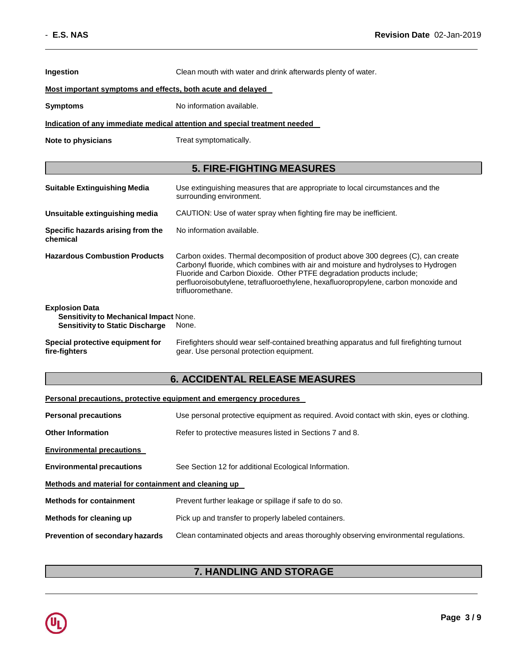| Ingestion                                                                                                        | Clean mouth with water and drink afterwards plenty of water.                                                                                                                                                                                                                                                                                                 |  |  |
|------------------------------------------------------------------------------------------------------------------|--------------------------------------------------------------------------------------------------------------------------------------------------------------------------------------------------------------------------------------------------------------------------------------------------------------------------------------------------------------|--|--|
| Most important symptoms and effects, both acute and delayed                                                      |                                                                                                                                                                                                                                                                                                                                                              |  |  |
| <b>Symptoms</b>                                                                                                  | No information available.                                                                                                                                                                                                                                                                                                                                    |  |  |
|                                                                                                                  | Indication of any immediate medical attention and special treatment needed                                                                                                                                                                                                                                                                                   |  |  |
| Note to physicians                                                                                               | Treat symptomatically.                                                                                                                                                                                                                                                                                                                                       |  |  |
|                                                                                                                  | <b>5. FIRE-FIGHTING MEASURES</b>                                                                                                                                                                                                                                                                                                                             |  |  |
| <b>Suitable Extinguishing Media</b>                                                                              | Use extinguishing measures that are appropriate to local circumstances and the<br>surrounding environment.                                                                                                                                                                                                                                                   |  |  |
| Unsuitable extinguishing media                                                                                   | CAUTION: Use of water spray when fighting fire may be inefficient.                                                                                                                                                                                                                                                                                           |  |  |
| Specific hazards arising from the<br>chemical                                                                    | No information available.                                                                                                                                                                                                                                                                                                                                    |  |  |
| <b>Hazardous Combustion Products</b>                                                                             | Carbon oxides. Thermal decomposition of product above 300 degrees (C), can create<br>Carbonyl fluoride, which combines with air and moisture and hydrolyses to Hydrogen<br>Fluoride and Carbon Dioxide. Other PTFE degradation products include;<br>perfluoroisobutylene, tetrafluoroethylene, hexafluoropropylene, carbon monoxide and<br>trifluoromethane. |  |  |
| <b>Explosion Data</b><br><b>Sensitivity to Mechanical Impact None.</b><br><b>Sensitivity to Static Discharge</b> | None.                                                                                                                                                                                                                                                                                                                                                        |  |  |
| Special protective equipment for<br>fire-fighters                                                                | Firefighters should wear self-contained breathing apparatus and full firefighting turnout<br>gear. Use personal protection equipment.                                                                                                                                                                                                                        |  |  |

## **6. ACCIDENTAL RELEASE MEASURES**

|                                                      | Personal precautions, protective equipment and emergency procedures                       |  |  |
|------------------------------------------------------|-------------------------------------------------------------------------------------------|--|--|
| <b>Personal precautions</b>                          | Use personal protective equipment as required. Avoid contact with skin, eyes or clothing. |  |  |
| <b>Other Information</b>                             | Refer to protective measures listed in Sections 7 and 8.                                  |  |  |
| <b>Environmental precautions</b>                     |                                                                                           |  |  |
| <b>Environmental precautions</b>                     | See Section 12 for additional Ecological Information.                                     |  |  |
| Methods and material for containment and cleaning up |                                                                                           |  |  |
| <b>Methods for containment</b>                       | Prevent further leakage or spillage if safe to do so.                                     |  |  |
| Methods for cleaning up                              | Pick up and transfer to properly labeled containers.                                      |  |  |
| <b>Prevention of secondary hazards</b>               | Clean contaminated objects and areas thoroughly observing environmental regulations.      |  |  |

## **7. HANDLING AND STORAGE**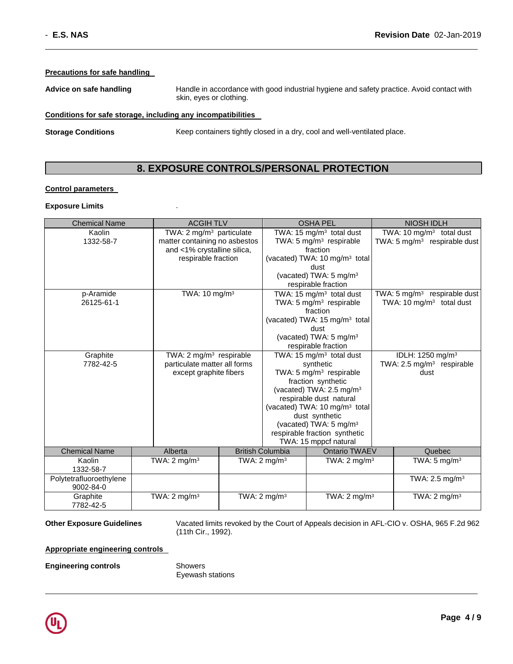#### **Precautions for safe handling**

**Advice on safe handling** Handle in accordance with good industrial hygiene and safety practice. Avoid contact with skin, eyes or clothing.

#### **Conditions for safe storage, including any incompatibilities**

**Storage Conditions** Keep containers tightly closed in a dry, cool and well-ventilated place.

## **8. EXPOSURE CONTROLS/PERSONAL PROTECTION**

#### **Control parameters**

#### **Exposure Limits** .

| <b>Chemical Name</b>    | <b>ACGIHTLV</b>                      |  |                                      | <b>OSHA PEL</b>                                        |  | <b>NIOSH IDLH</b>                        |
|-------------------------|--------------------------------------|--|--------------------------------------|--------------------------------------------------------|--|------------------------------------------|
| Kaolin                  | TWA: 2 mg/m <sup>3</sup> particulate |  | TWA: 15 mg/m <sup>3</sup> total dust |                                                        |  | TWA: 10 $mg/m3$ total dust               |
| 1332-58-7               | matter containing no asbestos        |  |                                      | TWA: 5 mg/m <sup>3</sup> respirable                    |  | TWA: $5 \text{ mg/m}^3$ respirable dust  |
|                         | and <1% crystalline silica,          |  |                                      | fraction                                               |  |                                          |
|                         | respirable fraction                  |  |                                      | (vacated) TWA: 10 mg/m <sup>3</sup> total              |  |                                          |
|                         |                                      |  |                                      | dust                                                   |  |                                          |
|                         |                                      |  |                                      | (vacated) TWA: $5 \text{ mg/m}^3$                      |  |                                          |
|                         |                                      |  |                                      | respirable fraction                                    |  |                                          |
| p-Aramide               | TWA: $10 \text{ mg/m}^3$             |  |                                      | TWA: 15 mg/m <sup>3</sup> total dust                   |  | TWA: 5 mg/m <sup>3</sup> respirable dust |
| 26125-61-1              |                                      |  |                                      | TWA: 5 mg/m <sup>3</sup> respirable<br>fraction        |  | TWA: 10 mg/m <sup>3</sup> total dust     |
|                         |                                      |  |                                      | (vacated) TWA: 15 mg/m <sup>3</sup> total              |  |                                          |
|                         |                                      |  |                                      | dust                                                   |  |                                          |
|                         |                                      |  |                                      | (vacated) TWA: 5 mg/m <sup>3</sup>                     |  |                                          |
|                         |                                      |  |                                      | respirable fraction                                    |  |                                          |
| Graphite                | TWA: 2 mg/m <sup>3</sup> respirable  |  | TWA: 15 mg/m <sup>3</sup> total dust |                                                        |  | IDLH: 1250 mg/m <sup>3</sup>             |
| 7782-42-5               | particulate matter all forms         |  |                                      | synthetic                                              |  | TWA: 2.5 mg/m <sup>3</sup> respirable    |
|                         | except graphite fibers               |  |                                      | TWA: 5 mg/m <sup>3</sup> respirable                    |  | dust                                     |
|                         |                                      |  |                                      | fraction synthetic                                     |  |                                          |
|                         |                                      |  |                                      | (vacated) TWA: 2.5 mg/m <sup>3</sup>                   |  |                                          |
|                         |                                      |  |                                      | respirable dust natural                                |  |                                          |
|                         |                                      |  |                                      | (vacated) TWA: 10 mg/m <sup>3</sup> total              |  |                                          |
|                         |                                      |  |                                      | dust synthetic                                         |  |                                          |
|                         |                                      |  |                                      | (vacated) TWA: 5 mg/m <sup>3</sup>                     |  |                                          |
|                         |                                      |  |                                      | respirable fraction synthetic<br>TWA: 15 mppcf natural |  |                                          |
| <b>Chemical Name</b>    | Alberta                              |  | <b>British Columbia</b>              | Ontario TWAEV                                          |  | Quebec                                   |
| Kaolin                  | TWA: $2 \text{ mg/m}^3$              |  | TWA: $2 \text{ mg/m}^3$              | TWA: $2 \text{ mg/m}^3$                                |  | TWA: $5 \text{ mg/m}^3$                  |
| 1332-58-7               |                                      |  |                                      |                                                        |  |                                          |
| Polytetrafluoroethylene |                                      |  |                                      |                                                        |  | TWA: $2.5 \text{ mg/m}^3$                |
| 9002-84-0               |                                      |  |                                      |                                                        |  |                                          |
| Graphite                | TWA: $2 \text{ mg/m}^3$              |  | TWA: $2 \text{ mg/m}^3$              | TWA: $2 \text{ mg/m}^3$                                |  | TWA: $2 \text{ mg/m}^3$                  |
| 7782-42-5               |                                      |  |                                      |                                                        |  |                                          |

**Other Exposure Guidelines** Vacated limits revoked by the Court of Appeals decision in AFL-CIO v. OSHA, 965 F.2d 962 (11th Cir., 1992).

**Appropriate engineering controls** 

**Engineering controls** Showers

Eyewash stations

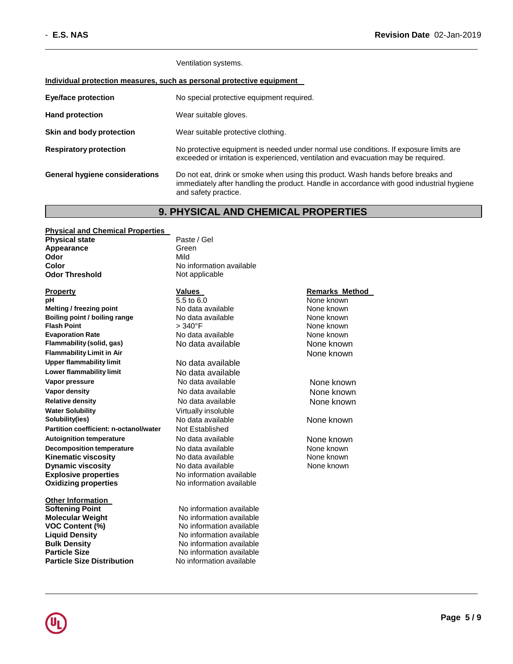Ventilation systems.

#### **Individual protection measures, such as personal protective equipment**

| <b>Eye/face protection</b>            | No special protective equipment required.                                                                                                                                                             |  |
|---------------------------------------|-------------------------------------------------------------------------------------------------------------------------------------------------------------------------------------------------------|--|
| <b>Hand protection</b>                | Wear suitable gloves.                                                                                                                                                                                 |  |
| Skin and body protection              | Wear suitable protective clothing.                                                                                                                                                                    |  |
| <b>Respiratory protection</b>         | No protective equipment is needed under normal use conditions. If exposure limits are<br>exceeded or irritation is experienced, ventilation and evacuation may be required.                           |  |
| <b>General hygiene considerations</b> | Do not eat, drink or smoke when using this product. Wash hands before breaks and<br>immediately after handling the product. Handle in accordance with good industrial hygiene<br>and safety practice. |  |

### **9. PHYSICAL AND CHEMICAL PROPERTIES**

#### **Physical and Chemical Properties**

**Physical state** Paste / Gel Appearance **Green Odor** Mild **Color** No information available **Odor Threshold** Not applicable

**pH** 5.5 to 6.0 **None known**<br> **PH** 5.5 to 6.0 **None known**<br>
No data available **None known Melting / freezing point and the Cone of Alexandria** None known<br> **Boiling point / boiling range No data available None known None known Boiling point / boiling range<br>Flash Point Evaporation Rate No data available None known Flammability (solid, gas)** No data available None known **Flammability Limit in Air** None known **Upper flammability limit** No data available **Lower flammability limit** No data available **Vapor pressure 19 COVER 19 COVER 10 NO data available 19 COVER 19 None known Vapor density** No data available None known **Relative density**<br> **Water Solubility**<br>
Virtually insoluble<br>
Unit ally insoluble **Water Solubility** Virtually insoluble **Partition coefficient: n-octanol/water Autoignition temperature No data available None known Decomposition temperature No data available None known**<br> **Kinematic viscosity No data available None known**<br>
None known **Kinematic viscosity** No data available<br> **Dynamic viscosity** No data available **Dynamic viscosity**<br> **Explosive properties**<br>
No information available **Explosive properties**<br> **Oxidizing properties**<br>
No information available **Oxidizing properties** 

**Other Information Softening Point No information available Molecular Weight**  No information available **VOC Content (%)** No information available **Liquid Density No information available Bulk Density**<br> **Particle Size**<br> **Particle Size**<br> **No information available Particle Size**<br> **Particle Size Distribution**<br>
No information available

**FIRM**  $\geq 340^{\circ}$ FIRM **Point** 240°F

No data available **None known**<br>Not Established

**Particle Size Distribution** No information available

#### **Property Values Values Remarks Method**

None known

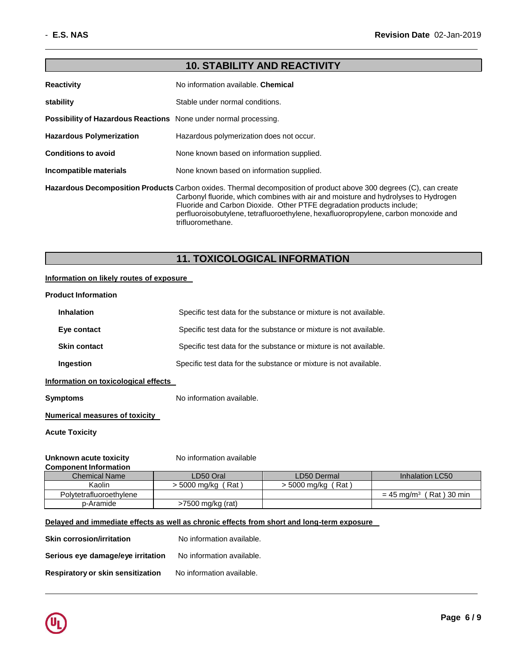| <b>10. STABILITY AND REACTIVITY</b>                                                                                                                                                                                                                                                                                                                                                           |                                           |  |
|-----------------------------------------------------------------------------------------------------------------------------------------------------------------------------------------------------------------------------------------------------------------------------------------------------------------------------------------------------------------------------------------------|-------------------------------------------|--|
| <b>Reactivity</b>                                                                                                                                                                                                                                                                                                                                                                             | No information available. Chemical        |  |
| stability                                                                                                                                                                                                                                                                                                                                                                                     | Stable under normal conditions.           |  |
| <b>Possibility of Hazardous Reactions</b> None under normal processing.                                                                                                                                                                                                                                                                                                                       |                                           |  |
| <b>Hazardous Polymerization</b>                                                                                                                                                                                                                                                                                                                                                               | Hazardous polymerization does not occur.  |  |
| <b>Conditions to avoid</b>                                                                                                                                                                                                                                                                                                                                                                    | None known based on information supplied. |  |
| Incompatible materials                                                                                                                                                                                                                                                                                                                                                                        | None known based on information supplied. |  |
| Hazardous Decomposition Products Carbon oxides. Thermal decomposition of product above 300 degrees (C), can create<br>Carbonyl fluoride, which combines with air and moisture and hydrolyses to Hydrogen<br>Fluoride and Carbon Dioxide. Other PTFE degradation products include;<br>perfluoroisobutylene, tetrafluoroethylene, hexafluoropropylene, carbon monoxide and<br>trifluoromethane. |                                           |  |

## **11. TOXICOLOGICAL INFORMATION**

#### **Information on likely routes of exposure**

## **Product Information**

| <b>Inhalation</b>   | Specific test data for the substance or mixture is not available. |
|---------------------|-------------------------------------------------------------------|
| Eye contact         | Specific test data for the substance or mixture is not available. |
| <b>Skin contact</b> | Specific test data for the substance or mixture is not available. |
| Ingestion           | Specific test data for the substance or mixture is not available. |

#### **Information on toxicological effects**

**Symptoms** No information available.

#### **Numerical measures of toxicity**

**Acute Toxicity**

#### **Unknown acute toxicity** No information available **Component Information**

| ___                     |                     |                      |                                       |
|-------------------------|---------------------|----------------------|---------------------------------------|
| <b>Chemical Name</b>    | LD50 Oral           | LD50 Dermal          | Inhalation LC50                       |
| Kaolin                  | Rat<br>> 5000 mg/kg | > 5000 mg/kg ( Rat ) |                                       |
| Polytetrafluoroethylene |                     |                      | $= 45$ mg/m <sup>3</sup> (Rat) 30 min |
| p-Aramide               | >7500 mg/kg (rat)   |                      |                                       |

### **Delayed and immediate effects as well as chronic effects from short and long-term exposure**

| <b>Skin corrosion/irritation</b>  | No information available. |
|-----------------------------------|---------------------------|
| Serious eye damage/eye irritation | No information available. |
| Respiratory or skin sensitization | No information available. |

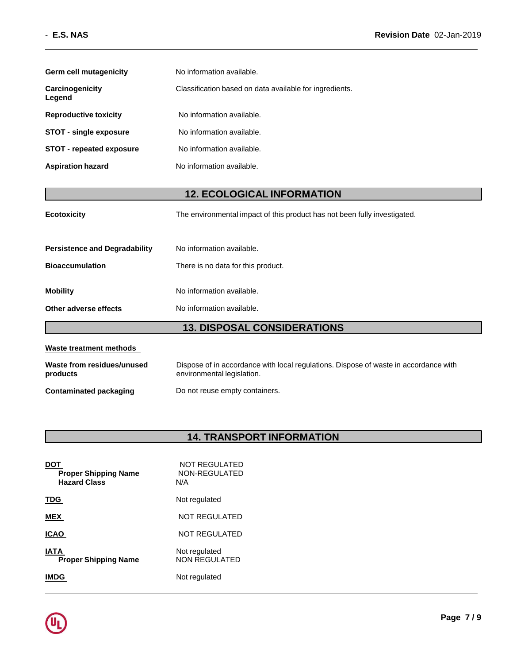| Germ cell mutagenicity          | No information available.                               |
|---------------------------------|---------------------------------------------------------|
| Carcinogenicity<br>Legend       | Classification based on data available for ingredients. |
| <b>Reproductive toxicity</b>    | No information available.                               |
| <b>STOT - single exposure</b>   | No information available.                               |
| <b>STOT - repeated exposure</b> | No information available.                               |
| <b>Aspiration hazard</b>        | No information available.                               |

## **12. ECOLOGICAL INFORMATION**

| <b>13. DISPOSAL CONSIDERATIONS</b>   |                                                                           |  |  |
|--------------------------------------|---------------------------------------------------------------------------|--|--|
| Other adverse effects                | No information available.                                                 |  |  |
| <b>Mobility</b>                      | No information available.                                                 |  |  |
| <b>Bioaccumulation</b>               | There is no data for this product.                                        |  |  |
| <b>Persistence and Degradability</b> | No information available.                                                 |  |  |
| <b>Ecotoxicity</b>                   | The environmental impact of this product has not been fully investigated. |  |  |

| Waste treatment methods                |                                                                                                                    |  |  |  |
|----------------------------------------|--------------------------------------------------------------------------------------------------------------------|--|--|--|
| Waste from residues/unused<br>products | Dispose of in accordance with local regulations. Dispose of waste in accordance with<br>environmental legislation. |  |  |  |
| Contaminated packaging                 | Do not reuse empty containers.                                                                                     |  |  |  |

## **14. TRANSPORT INFORMATION**

| <b>Proper Shipping Name</b><br><b>Hazard Class</b> | NOT REGULATED<br>NON-REGULATED<br>N/A |
|----------------------------------------------------|---------------------------------------|
| <b>TDG</b>                                         | Not regulated                         |
| <b>MEX</b>                                         | NOT REGULATED                         |
| ICAO                                               | <b>NOT REGULATED</b>                  |
| IATA<br><b>Proper Shipping Name</b>                | Not regulated<br><b>NON REGULATED</b> |
| IMDG                                               | Not regulated                         |
|                                                    |                                       |

L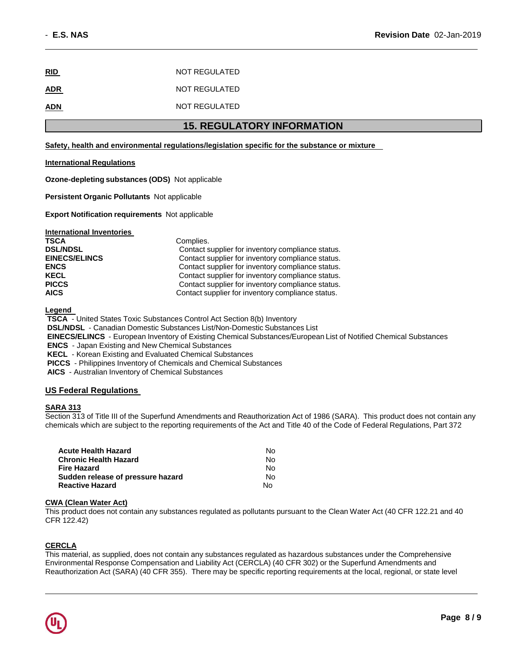| <u>RID</u> | NOT REGULATED |
|------------|---------------|
| <b>ADR</b> | NOT REGULATED |
| <b>ADN</b> | NOT REGULATED |

## **15. REGULATORY INFORMATION**

#### **Safety, health and environmental regulations/legislation specific for the substance or mixture**

#### **International Regulations**

**Ozone-depleting substances (ODS)** Not applicable

**Persistent Organic Pollutants** Not applicable

**Export Notification requirements** Not applicable

| <b>International Inventories</b> |                                                   |
|----------------------------------|---------------------------------------------------|
| <b>TSCA</b>                      | Complies.                                         |
| <b>DSL/NDSL</b>                  | Contact supplier for inventory compliance status. |
| <b>EINECS/ELINCS</b>             | Contact supplier for inventory compliance status. |
| <b>ENCS</b>                      | Contact supplier for inventory compliance status. |
| <b>KECL</b>                      | Contact supplier for inventory compliance status. |
| <b>PICCS</b>                     | Contact supplier for inventory compliance status. |
| <b>AICS</b>                      | Contact supplier for inventory compliance status. |

**Legend** 

**TSCA** - United States Toxic Substances Control Act Section 8(b) Inventory **DSL/NDSL** - Canadian Domestic Substances List/Non-Domestic Substances List **EINECS/ELINCS** - European Inventory of Existing Chemical Substances/European List of Notified Chemical Substances **ENCS** - Japan Existing and New Chemical Substances **KECL** - Korean Existing and Evaluated Chemical Substances **PICCS** - Philippines Inventory of Chemicals and Chemical Substances

**AICS** - Australian Inventory of Chemical Substances

#### **US Federal Regulations**

#### **SARA 313**

Section 313 of Title III of the Superfund Amendments and Reauthorization Act of 1986 (SARA). This product does not contain any chemicals which are subject to the reporting requirements of the Act and Title 40 of the Code of Federal Regulations, Part 372

| <b>Acute Health Hazard</b>        | No. |
|-----------------------------------|-----|
| <b>Chronic Health Hazard</b>      | No. |
| <b>Fire Hazard</b>                | No. |
| Sudden release of pressure hazard | No. |
| <b>Reactive Hazard</b>            | N٥  |

#### **CWA (Clean Water Act)**

This product does not contain any substances regulated as pollutants pursuant to the Clean Water Act (40 CFR 122.21 and 40 CFR 122.42)

#### **CERCLA**

This material, as supplied, does not contain any substances regulated as hazardous substances under the Comprehensive Environmental Response Compensation and Liability Act (CERCLA) (40 CFR 302) or the Superfund Amendments and Reauthorization Act (SARA) (40 CFR 355). There may be specific reporting requirements at the local, regional, or state level